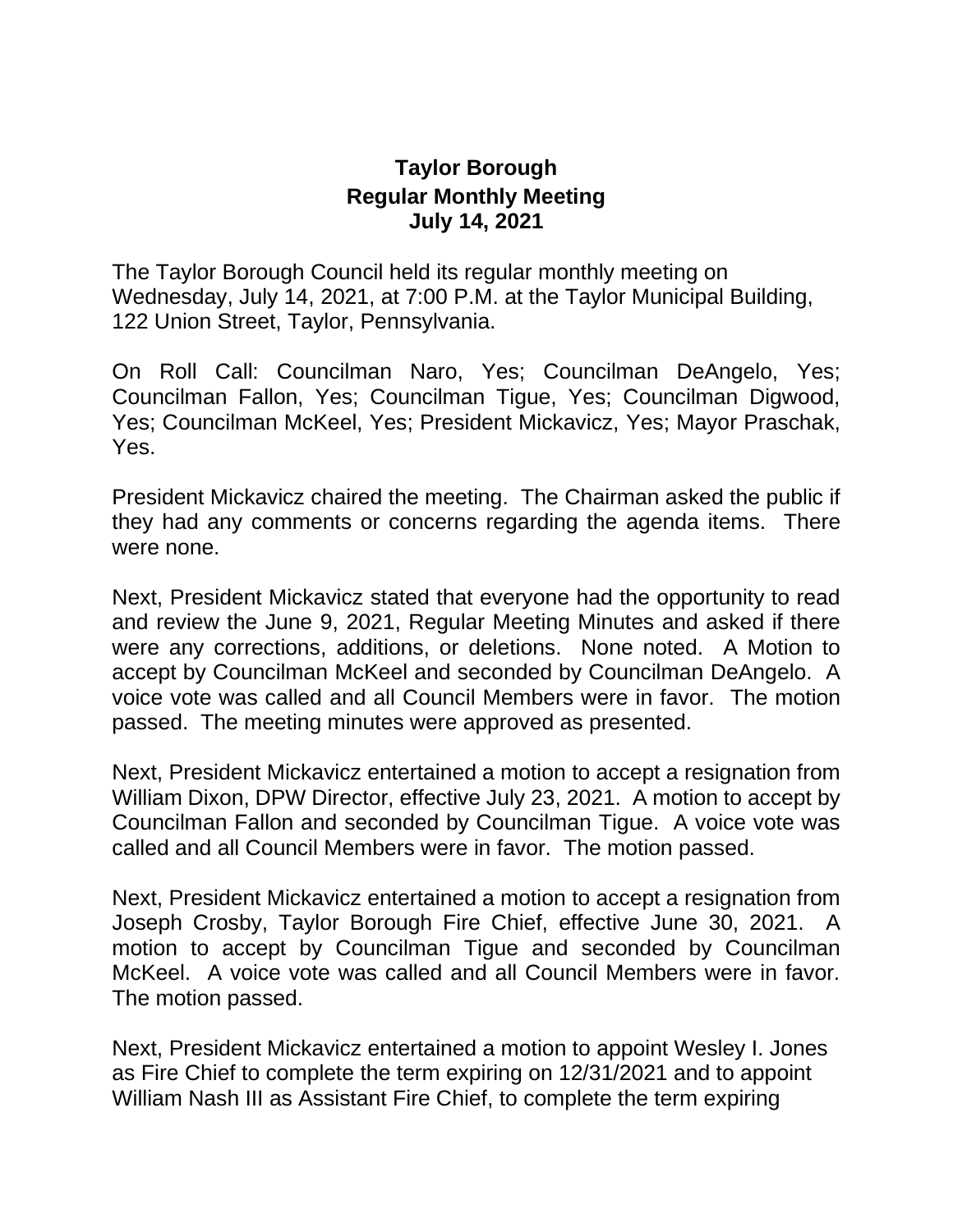## **Taylor Borough Regular Monthly Meeting July 14, 2021**

The Taylor Borough Council held its regular monthly meeting on Wednesday, July 14, 2021, at 7:00 P.M. at the Taylor Municipal Building, 122 Union Street, Taylor, Pennsylvania.

On Roll Call: Councilman Naro, Yes; Councilman DeAngelo, Yes; Councilman Fallon, Yes; Councilman Tigue, Yes; Councilman Digwood, Yes; Councilman McKeel, Yes; President Mickavicz, Yes; Mayor Praschak, Yes.

President Mickavicz chaired the meeting. The Chairman asked the public if they had any comments or concerns regarding the agenda items. There were none.

Next, President Mickavicz stated that everyone had the opportunity to read and review the June 9, 2021, Regular Meeting Minutes and asked if there were any corrections, additions, or deletions. None noted. A Motion to accept by Councilman McKeel and seconded by Councilman DeAngelo. A voice vote was called and all Council Members were in favor. The motion passed. The meeting minutes were approved as presented.

Next, President Mickavicz entertained a motion to accept a resignation from William Dixon, DPW Director, effective July 23, 2021. A motion to accept by Councilman Fallon and seconded by Councilman Tigue. A voice vote was called and all Council Members were in favor. The motion passed.

Next, President Mickavicz entertained a motion to accept a resignation from Joseph Crosby, Taylor Borough Fire Chief, effective June 30, 2021. A motion to accept by Councilman Tigue and seconded by Councilman McKeel. A voice vote was called and all Council Members were in favor. The motion passed.

Next, President Mickavicz entertained a motion to appoint Wesley I. Jones as Fire Chief to complete the term expiring on 12/31/2021 and to appoint William Nash III as Assistant Fire Chief, to complete the term expiring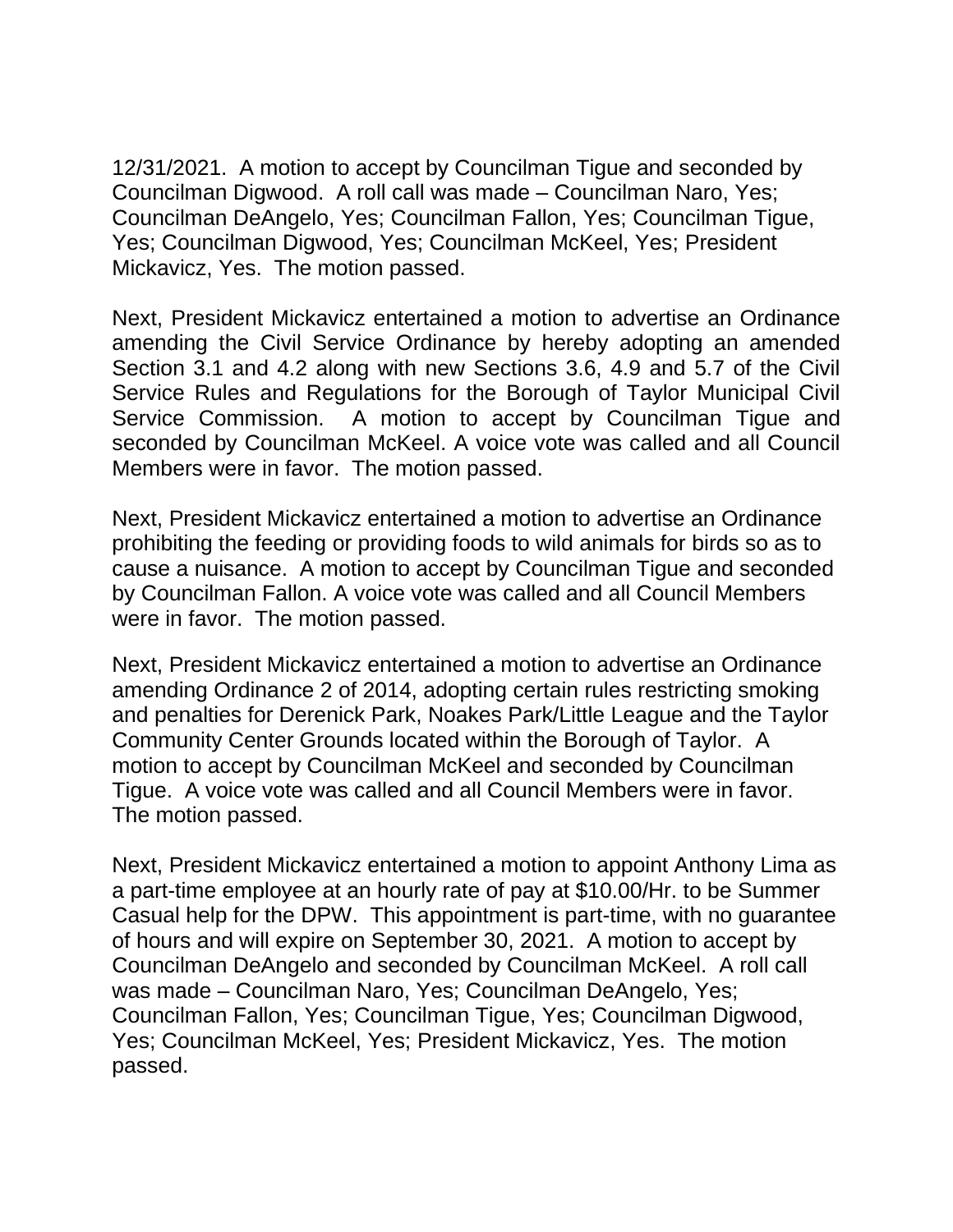12/31/2021. A motion to accept by Councilman Tigue and seconded by Councilman Digwood. A roll call was made – Councilman Naro, Yes; Councilman DeAngelo, Yes; Councilman Fallon, Yes; Councilman Tigue, Yes; Councilman Digwood, Yes; Councilman McKeel, Yes; President Mickavicz, Yes. The motion passed.

Next, President Mickavicz entertained a motion to advertise an Ordinance amending the Civil Service Ordinance by hereby adopting an amended Section 3.1 and 4.2 along with new Sections 3.6, 4.9 and 5.7 of the Civil Service Rules and Regulations for the Borough of Taylor Municipal Civil Service Commission. A motion to accept by Councilman Tigue and seconded by Councilman McKeel. A voice vote was called and all Council Members were in favor. The motion passed.

Next, President Mickavicz entertained a motion to advertise an Ordinance prohibiting the feeding or providing foods to wild animals for birds so as to cause a nuisance. A motion to accept by Councilman Tigue and seconded by Councilman Fallon. A voice vote was called and all Council Members were in favor. The motion passed.

Next, President Mickavicz entertained a motion to advertise an Ordinance amending Ordinance 2 of 2014, adopting certain rules restricting smoking and penalties for Derenick Park, Noakes Park/Little League and the Taylor Community Center Grounds located within the Borough of Taylor. A motion to accept by Councilman McKeel and seconded by Councilman Tigue. A voice vote was called and all Council Members were in favor. The motion passed.

Next, President Mickavicz entertained a motion to appoint Anthony Lima as a part-time employee at an hourly rate of pay at \$10.00/Hr. to be Summer Casual help for the DPW. This appointment is part-time, with no guarantee of hours and will expire on September 30, 2021. A motion to accept by Councilman DeAngelo and seconded by Councilman McKeel. A roll call was made – Councilman Naro, Yes; Councilman DeAngelo, Yes; Councilman Fallon, Yes; Councilman Tigue, Yes; Councilman Digwood, Yes; Councilman McKeel, Yes; President Mickavicz, Yes. The motion passed.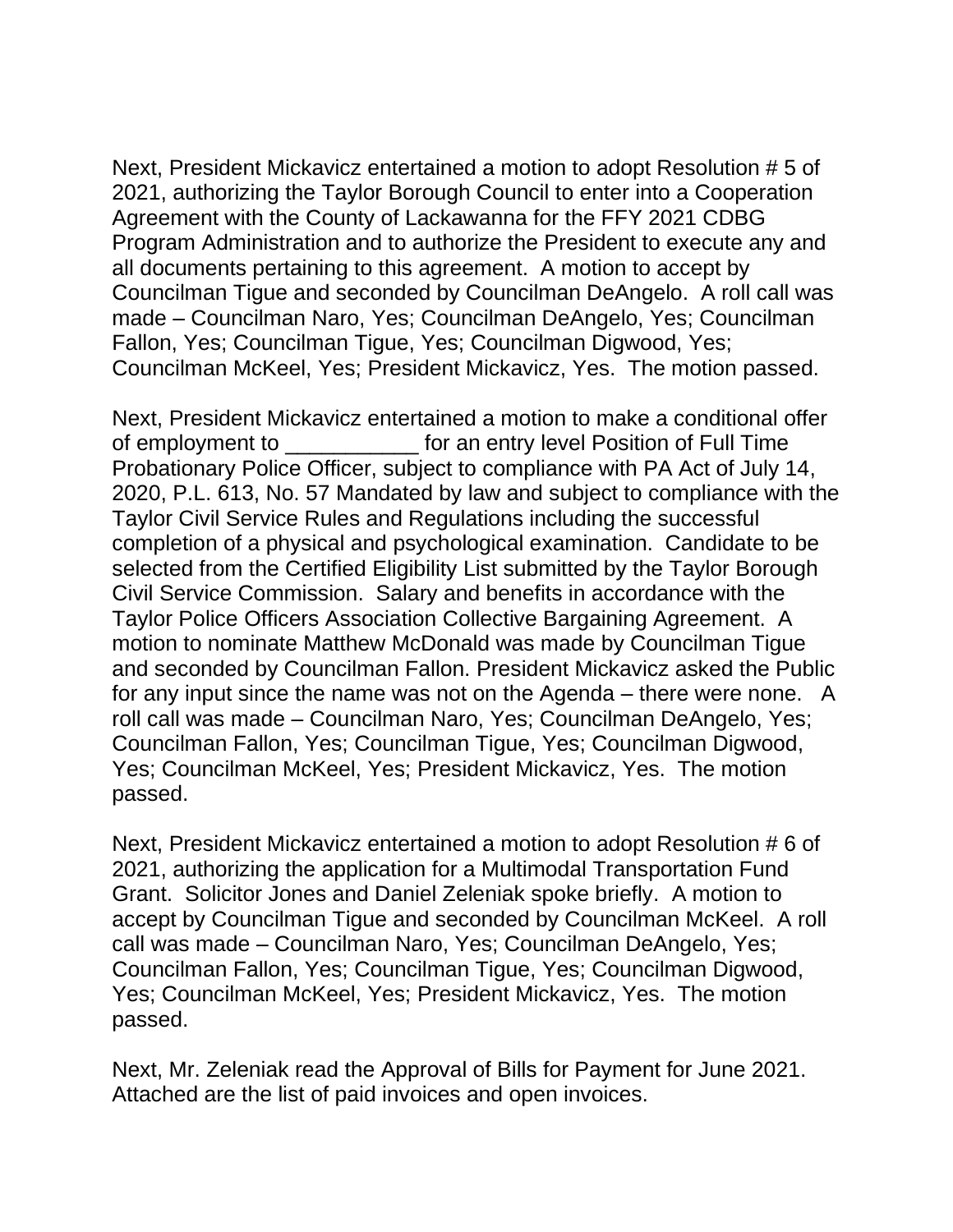Next, President Mickavicz entertained a motion to adopt Resolution # 5 of 2021, authorizing the Taylor Borough Council to enter into a Cooperation Agreement with the County of Lackawanna for the FFY 2021 CDBG Program Administration and to authorize the President to execute any and all documents pertaining to this agreement. A motion to accept by Councilman Tigue and seconded by Councilman DeAngelo. A roll call was made – Councilman Naro, Yes; Councilman DeAngelo, Yes; Councilman Fallon, Yes; Councilman Tigue, Yes; Councilman Digwood, Yes; Councilman McKeel, Yes; President Mickavicz, Yes. The motion passed.

Next, President Mickavicz entertained a motion to make a conditional offer of employment to entry level Position of Full Time Probationary Police Officer, subject to compliance with PA Act of July 14, 2020, P.L. 613, No. 57 Mandated by law and subject to compliance with the Taylor Civil Service Rules and Regulations including the successful completion of a physical and psychological examination. Candidate to be selected from the Certified Eligibility List submitted by the Taylor Borough Civil Service Commission. Salary and benefits in accordance with the Taylor Police Officers Association Collective Bargaining Agreement. A motion to nominate Matthew McDonald was made by Councilman Tigue and seconded by Councilman Fallon. President Mickavicz asked the Public for any input since the name was not on the Agenda – there were none. A roll call was made – Councilman Naro, Yes; Councilman DeAngelo, Yes; Councilman Fallon, Yes; Councilman Tigue, Yes; Councilman Digwood, Yes; Councilman McKeel, Yes; President Mickavicz, Yes. The motion passed.

Next, President Mickavicz entertained a motion to adopt Resolution # 6 of 2021, authorizing the application for a Multimodal Transportation Fund Grant. Solicitor Jones and Daniel Zeleniak spoke briefly. A motion to accept by Councilman Tigue and seconded by Councilman McKeel. A roll call was made – Councilman Naro, Yes; Councilman DeAngelo, Yes; Councilman Fallon, Yes; Councilman Tigue, Yes; Councilman Digwood, Yes; Councilman McKeel, Yes; President Mickavicz, Yes. The motion passed.

Next, Mr. Zeleniak read the Approval of Bills for Payment for June 2021. Attached are the list of paid invoices and open invoices.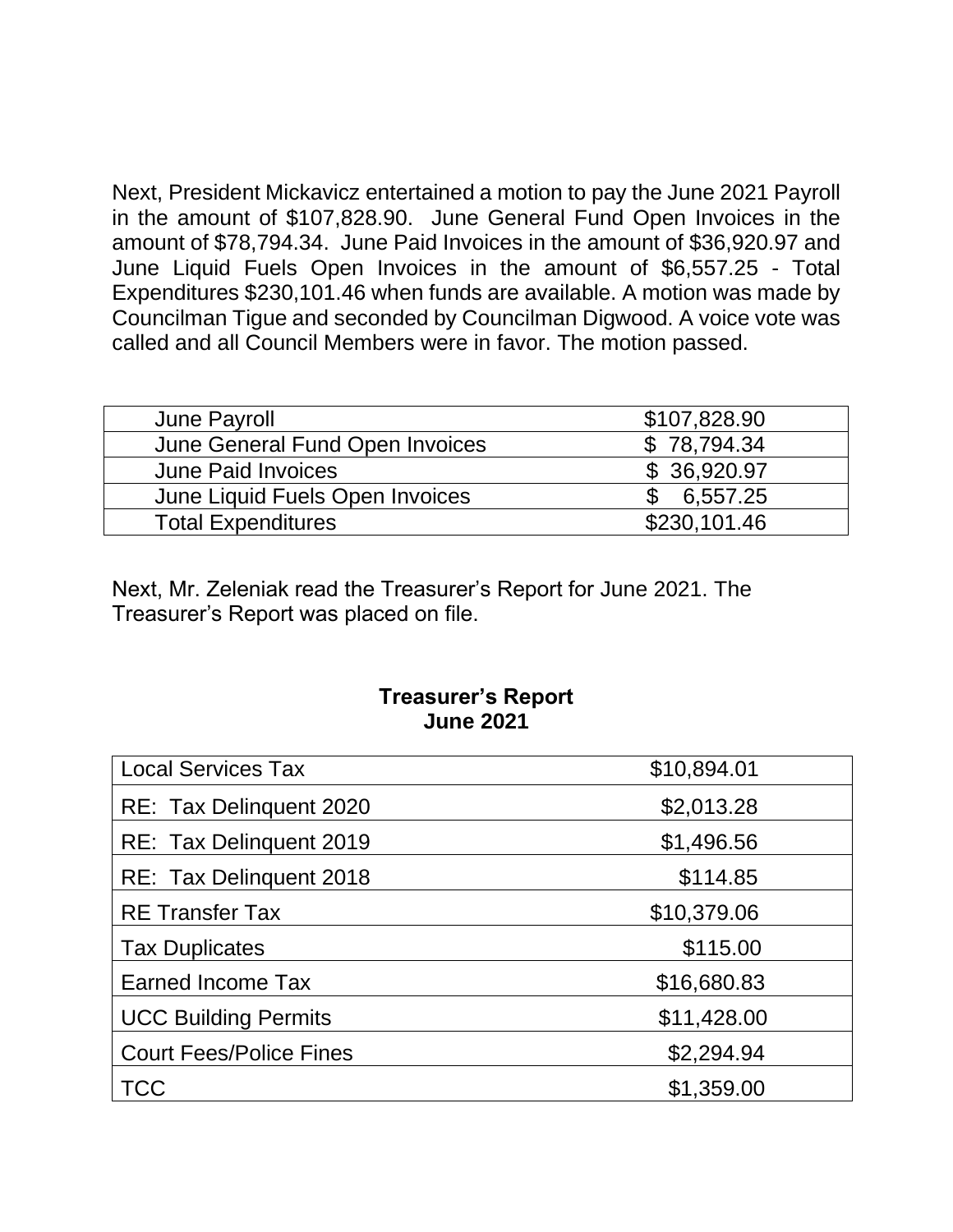Next, President Mickavicz entertained a motion to pay the June 2021 Payroll in the amount of \$107,828.90. June General Fund Open Invoices in the amount of \$78,794.34. June Paid Invoices in the amount of \$36,920.97 and June Liquid Fuels Open Invoices in the amount of \$6,557.25 - Total Expenditures \$230,101.46 when funds are available. A motion was made by Councilman Tigue and seconded by Councilman Digwood. A voice vote was called and all Council Members were in favor. The motion passed.

| June Payroll                    | \$107,828.90 |
|---------------------------------|--------------|
| June General Fund Open Invoices | \$78,794.34  |
| <b>June Paid Invoices</b>       | \$36,920.97  |
| June Liquid Fuels Open Invoices | 6.557.25     |
| <b>Total Expenditures</b>       | \$230,101.46 |
|                                 |              |

Next, Mr. Zeleniak read the Treasurer's Report for June 2021. The Treasurer's Report was placed on file.

## **Treasurer's Report June 2021**

| <b>Local Services Tax</b>      | \$10,894.01 |
|--------------------------------|-------------|
| RE: Tax Delinquent 2020        | \$2,013.28  |
| RE: Tax Delinquent 2019        | \$1,496.56  |
| RE: Tax Delinquent 2018        | \$114.85    |
| <b>RE Transfer Tax</b>         | \$10,379.06 |
| <b>Tax Duplicates</b>          | \$115.00    |
| Earned Income Tax              | \$16,680.83 |
| <b>UCC Building Permits</b>    | \$11,428.00 |
| <b>Court Fees/Police Fines</b> | \$2,294.94  |
| <b>TCC</b>                     | \$1,359.00  |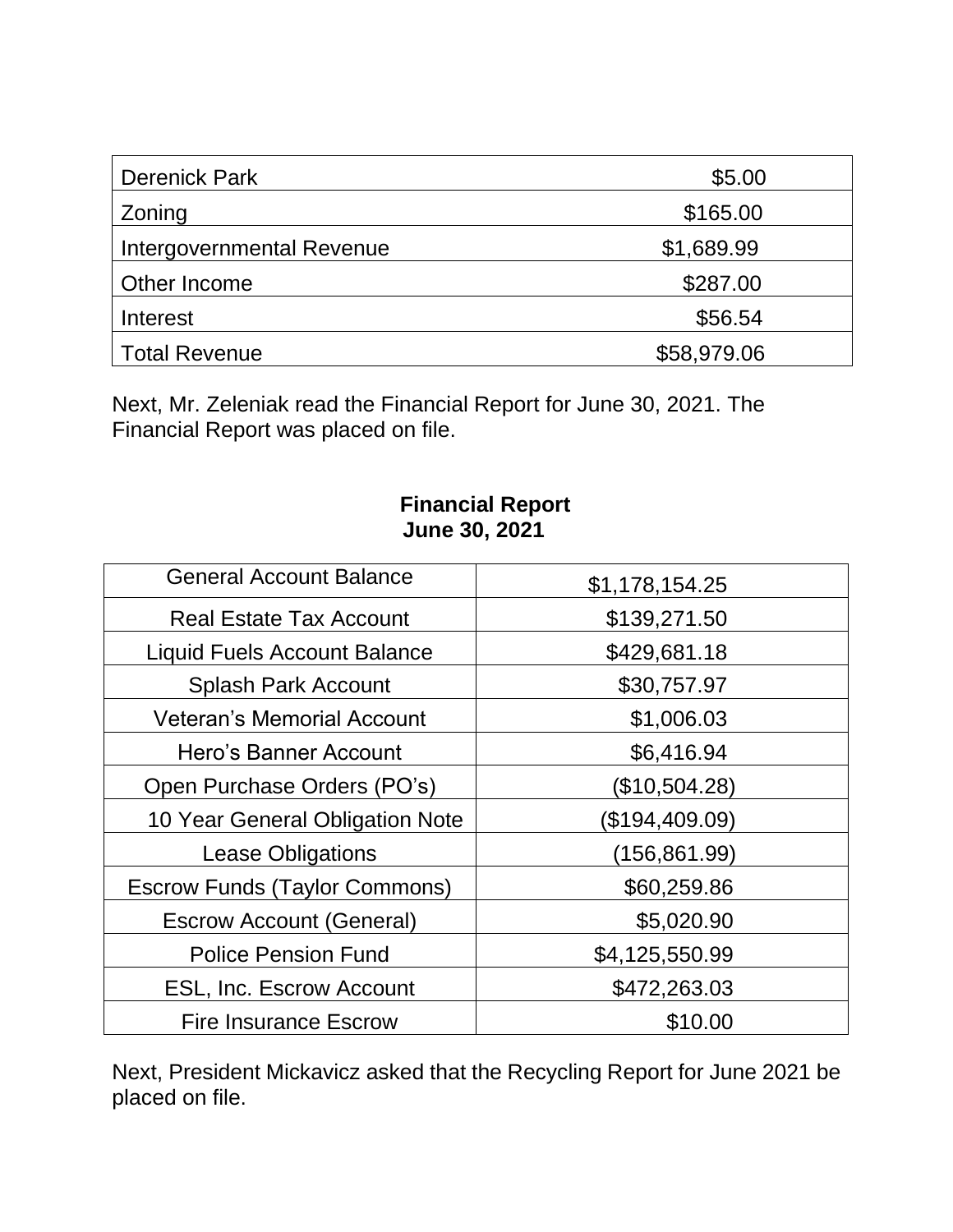| <b>Derenick Park</b>      | \$5.00      |
|---------------------------|-------------|
| Zoning                    | \$165.00    |
| Intergovernmental Revenue | \$1,689.99  |
| Other Income              | \$287.00    |
| Interest                  | \$56.54     |
| <b>Total Revenue</b>      | \$58,979.06 |

Next, Mr. Zeleniak read the Financial Report for June 30, 2021. The Financial Report was placed on file.

## **Financial Report June 30, 2021**

| <b>General Account Balance</b>       | \$1,178,154.25 |
|--------------------------------------|----------------|
| <b>Real Estate Tax Account</b>       | \$139,271.50   |
| <b>Liquid Fuels Account Balance</b>  | \$429,681.18   |
| <b>Splash Park Account</b>           | \$30,757.97    |
| <b>Veteran's Memorial Account</b>    | \$1,006.03     |
| Hero's Banner Account                | \$6,416.94     |
| Open Purchase Orders (PO's)          | (\$10,504.28)  |
| 10 Year General Obligation Note      | (\$194,409.09) |
| <b>Lease Obligations</b>             | (156,861.99)   |
| <b>Escrow Funds (Taylor Commons)</b> | \$60,259.86    |
| <b>Escrow Account (General)</b>      | \$5,020.90     |
| <b>Police Pension Fund</b>           | \$4,125,550.99 |
| <b>ESL, Inc. Escrow Account</b>      | \$472,263.03   |
| <b>Fire Insurance Escrow</b>         | \$10.00        |

Next, President Mickavicz asked that the Recycling Report for June 2021 be placed on file.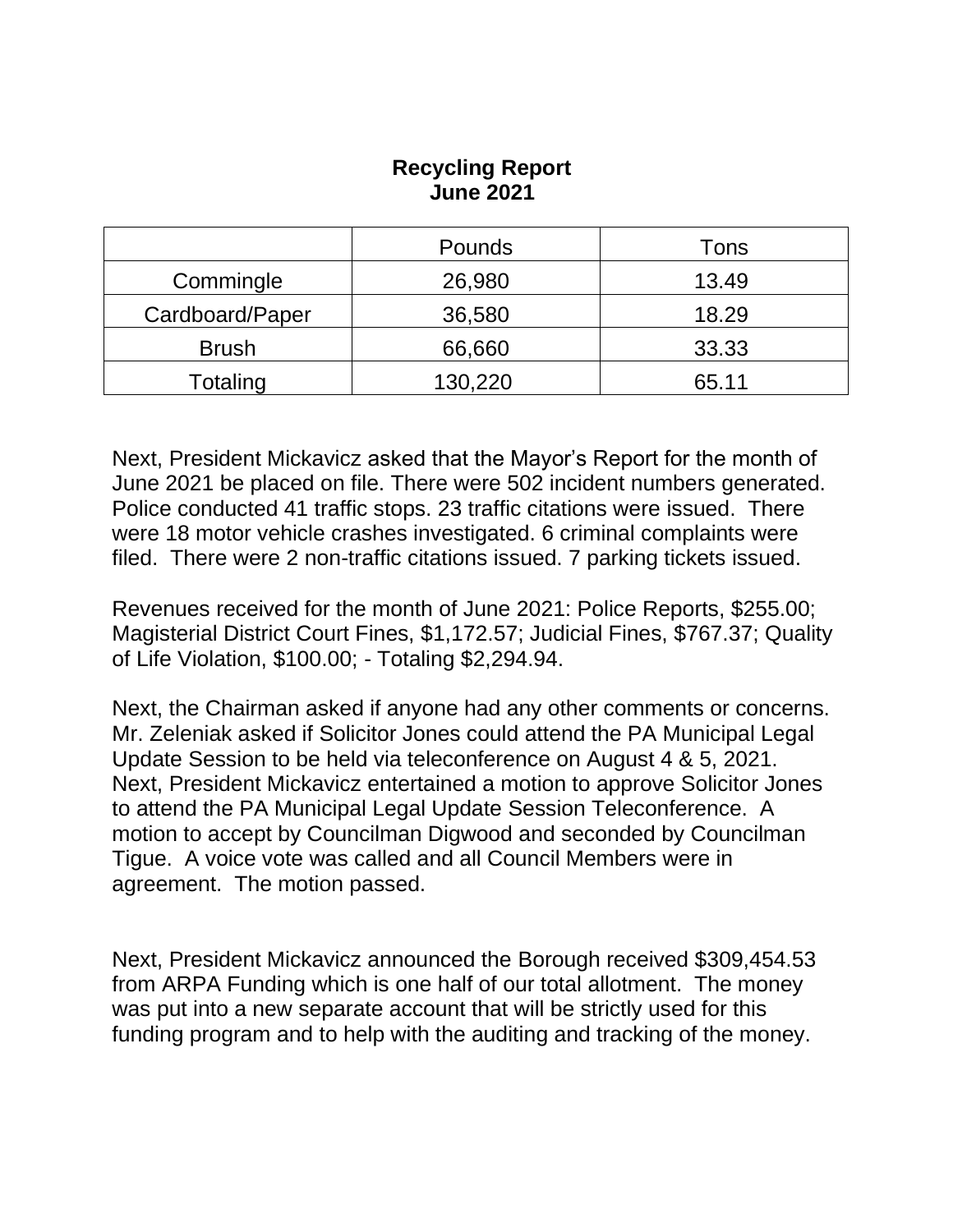## **Recycling Report June 2021**

|                 | <b>Pounds</b> | Tons  |
|-----------------|---------------|-------|
| Commingle       | 26,980        | 13.49 |
| Cardboard/Paper | 36,580        | 18.29 |
| <b>Brush</b>    | 66,660        | 33.33 |
| Totaling        | 130,220       | 65.11 |

Next, President Mickavicz asked that the Mayor's Report for the month of June 2021 be placed on file. There were 502 incident numbers generated. Police conducted 41 traffic stops. 23 traffic citations were issued. There were 18 motor vehicle crashes investigated. 6 criminal complaints were filed. There were 2 non-traffic citations issued. 7 parking tickets issued.

Revenues received for the month of June 2021: Police Reports, \$255.00; Magisterial District Court Fines, \$1,172.57; Judicial Fines, \$767.37; Quality of Life Violation, \$100.00; - Totaling \$2,294.94.

Next, the Chairman asked if anyone had any other comments or concerns. Mr. Zeleniak asked if Solicitor Jones could attend the PA Municipal Legal Update Session to be held via teleconference on August 4 & 5, 2021. Next, President Mickavicz entertained a motion to approve Solicitor Jones to attend the PA Municipal Legal Update Session Teleconference. A motion to accept by Councilman Digwood and seconded by Councilman Tigue. A voice vote was called and all Council Members were in agreement. The motion passed.

Next, President Mickavicz announced the Borough received \$309,454.53 from ARPA Funding which is one half of our total allotment. The money was put into a new separate account that will be strictly used for this funding program and to help with the auditing and tracking of the money.